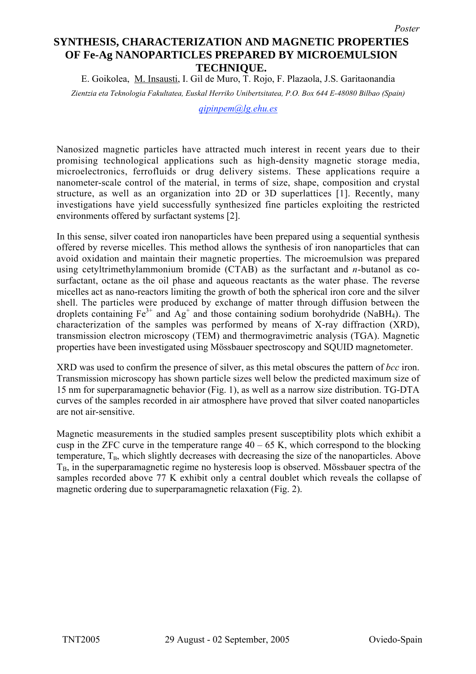## **SYNTHESIS, CHARACTERIZATION AND MAGNETIC PROPERTIES OF Fe-Ag NANOPARTICLES PREPARED BY MICROEMULSION TECHNIQUE.**

E. Goikolea, M. Insausti, I. Gil de Muro, T. Rojo, F. Plazaola, J.S. Garitaonandia

*Zientzia eta Teknologia Fakultatea, Euskal Herriko Unibertsitatea, P.O. Box 644 E-48080 Bilbao (Spain)*

*qipinpem@lg.ehu.es*

Nanosized magnetic particles have attracted much interest in recent years due to their promising technological applications such as high-density magnetic storage media, microelectronics, ferrofluids or drug delivery sistems. These applications require a nanometer-scale control of the material, in terms of size, shape, composition and crystal structure, as well as an organization into 2D or 3D superlattices [1]. Recently, many investigations have yield successfully synthesized fine particles exploiting the restricted environments offered by surfactant systems [2].

In this sense, silver coated iron nanoparticles have been prepared using a sequential synthesis offered by reverse micelles. This method allows the synthesis of iron nanoparticles that can avoid oxidation and maintain their magnetic properties. The microemulsion was prepared using cetyltrimethylammonium bromide (CTAB) as the surfactant and *n*-butanol as cosurfactant, octane as the oil phase and aqueous reactants as the water phase. The reverse micelles act as nano-reactors limiting the growth of both the spherical iron core and the silver shell. The particles were produced by exchange of matter through diffusion between the droplets containing  $Fe^{3+}$  and  $Ag^{+}$  and those containing sodium borohydride (NaBH<sub>4</sub>). The characterization of the samples was performed by means of X-ray diffraction (XRD), transmission electron microscopy (TEM) and thermogravimetric analysis (TGA). Magnetic properties have been investigated using Mössbauer spectroscopy and SQUID magnetometer.

XRD was used to confirm the presence of silver, as this metal obscures the pattern of *bcc* iron. Transmission microscopy has shown particle sizes well below the predicted maximum size of 15 nm for superparamagnetic behavior (Fig. 1), as well as a narrow size distribution. TG-DTA curves of the samples recorded in air atmosphere have proved that silver coated nanoparticles are not air-sensitive.

Magnetic measurements in the studied samples present susceptibility plots which exhibit a cusp in the ZFC curve in the temperature range  $40 - 65$  K, which correspond to the blocking temperature,  $T<sub>B</sub>$ , which slightly decreases with decreasing the size of the nanoparticles. Above  $T_B$ , in the superparamagnetic regime no hysteresis loop is observed. Mössbauer spectra of the samples recorded above 77 K exhibit only a central doublet which reveals the collapse of magnetic ordering due to superparamagnetic relaxation (Fig. 2).